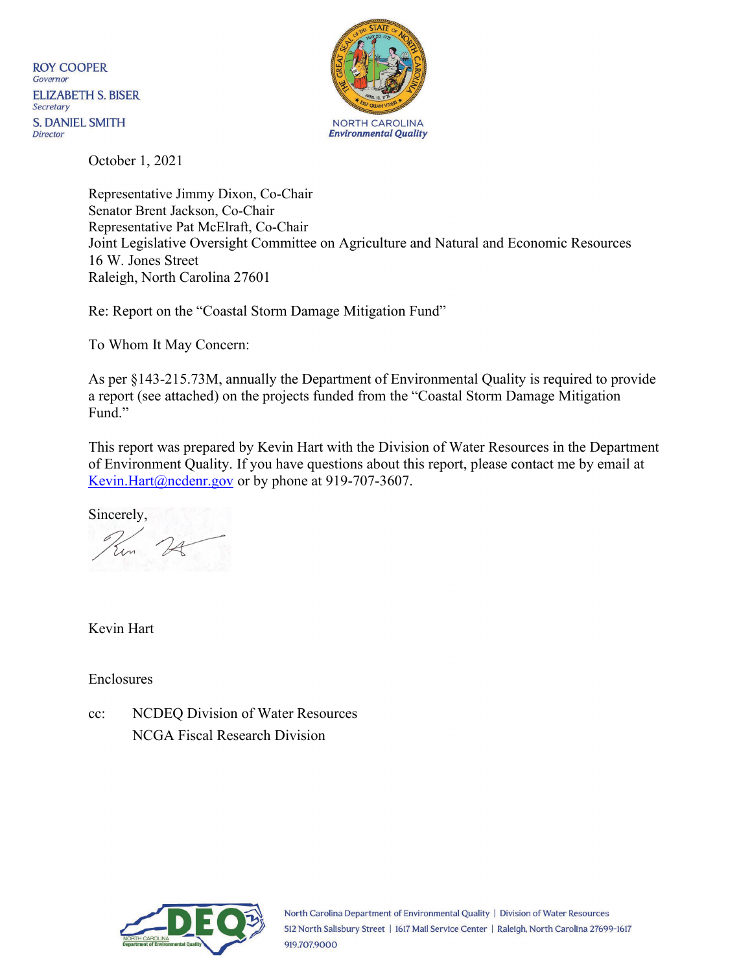**ROY COOPER** Governor **ELIZABETH S. BISER** Secretary **S. DANIEL SMITH Director** 



October 1, 2021

Representative Jimmy Dixon, Co-Chair Senator Brent Jackson, Co-Chair Representative Pat McElraft, Co-Chair Joint Legislative Oversight Committee on Agriculture and Natural and Economic Resources 16 W. Jones Street Raleigh, North Carolina 27601

Re: Report on the "Coastal Storm Damage Mitigation Fund"

To Whom It May Concern:

As per §143-215.73M, annually the Department of Environmental Quality is required to provide a report (see attached) on the projects funded from the "Coastal Storm Damage Mitigation Fund."

This report was prepared by Kevin Hart with the Division of Water Resources in the Department of Environment Quality. If you have questions about this report, please contact me by email at [Kevin.Hart@ncdenr.gov o](mailto:Kevin.Hart@ncdenr.gov)r by phone at 919-707-3607.

Sincerely,

Kevin Hart

Enclosures

cc: NCDEQ Division of Water Resources NCGA Fiscal Research Division

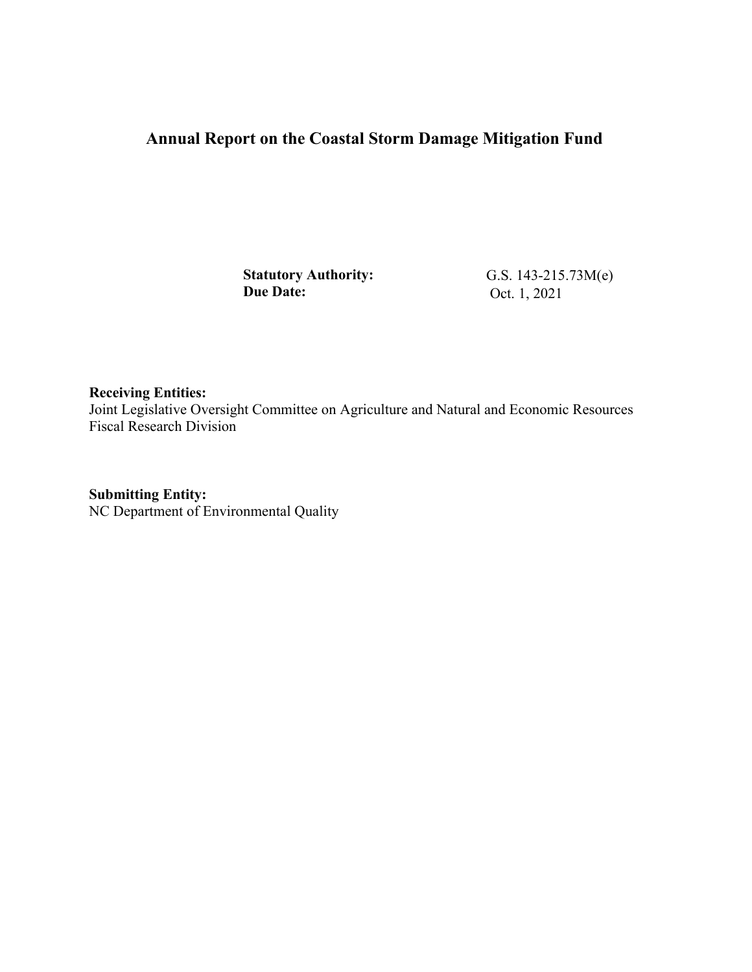## **Annual Report on the Coastal Storm Damage Mitigation Fund**

**Statutory Authority: Due Date:** 

G.S. 143-215.73M(e) Oct. 1, 2021

**Receiving Entities:**  Joint Legislative Oversight Committee on Agriculture and Natural and Economic Resources Fiscal Research Division

**Submitting Entity:**  NC Department of Environmental Quality